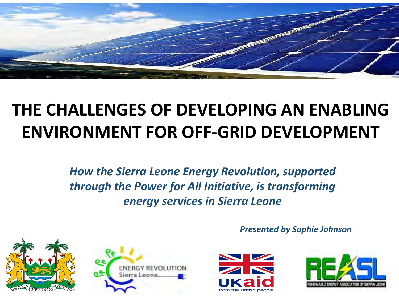

#### **DEVALOPMENT THE CHALLENGES OF DEVELOPING AN ENABLING ENVIRONMENT FOR OFF-GRID DEVELOPMENT**

*How the Sierra Leone Energy Revolution, supported through the Power for All Initiative, is transforming energy services in Sierra Leone* 









*Presented by Sophie Johnson*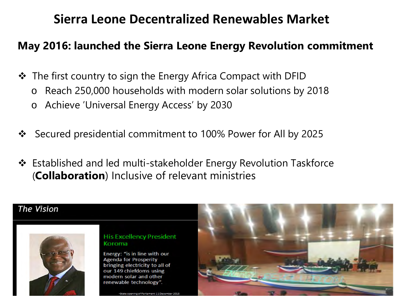#### **Sierra Leone Decentralized Renewables Market**

#### **May 2016: launched the Sierra Leone Energy Revolution commitment**

 $\triangle$  The first country to sign the Energy Africa Compact with DFID

- o Reach 250,000 households with modern solar solutions by 2018
- o Achieve 'Universal Energy Access' by 2030
- Secured presidential commitment to 100% Power for All by 2025
- Established and led multi-stakeholder Energy Revolution Taskforce (**Collaboration**) Inclusive of relevant ministries

#### **The Vision**



#### **His Excellency President** Koroma

Energy: "is in line with our **Agenda for Prosperity** bringing electricity to all of our 149 chiefdoms using modern solar and other renewable technology".

-State opening of Parliament 11 December 2015

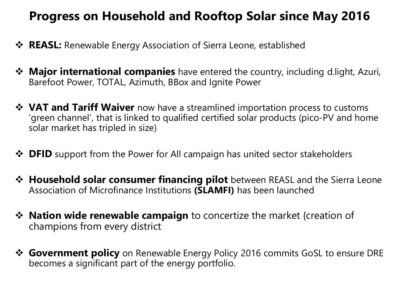#### **Progress on Household and Rooftop Solar since May 2016**

- **☆ REASL:** Renewable Energy Association of Sierra Leone, established
- **Major international companies** have entered the country, including d.light, Azuri, Barefoot Power, TOTAL, Azimuth, BBox and Ignite Power
- $\dots$  **VAT and Tariff Waiver** now have a streamlined importation process to customs 'green channel', that is linked to qualified certified solar products (pico-PV and home solar market has tripled in size)
- **→ DFID** support from the Power for All campaign has united sector stakeholders
- **<sup>◆</sup> Household solar consumer financing pilot** between REASL and the Sierra Leone Association of Microfinance Institutions **(SLAMFI)** has been launched
- **EXATE:** Nation wide renewable campaign to concertize the market {creation of champions from every district
- **Government policy** on Renewable Energy Policy 2016 commits GoSL to ensure DRE becomes a significant part of the energy portfolio.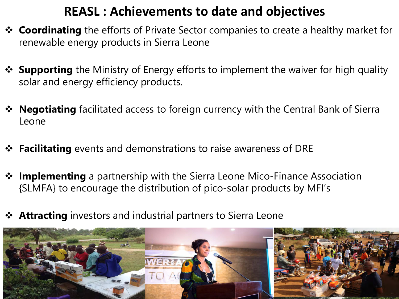#### **REASL : Achievements to date and objectives**

- **Exage Coordinating** the efforts of Private Sector companies to create a healthy market for renewable energy products in Sierra Leone
- **\*** Supporting the Ministry of Energy efforts to implement the waiver for high quality solar and energy efficiency products.
- **\*** Negotiating facilitated access to foreign currency with the Central Bank of Sierra Leone
- **Facilitating** events and demonstrations to raise awareness of DRE
- **<sup>❖</sup> Implementing** a partnership with the Sierra Leone Mico-Finance Association {SLMFA} to encourage the distribution of pico-solar products by MFI's
- **Attracting** investors and industrial partners to Sierra Leone

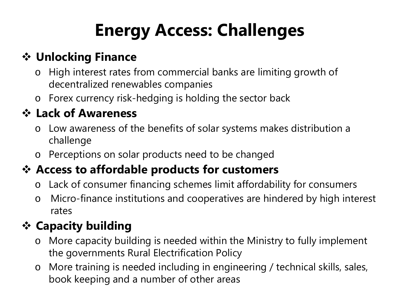# **Energy Access: Challenges**

### **Unlocking Finance**

- o High interest rates from commercial banks are limiting growth of decentralized renewables companies
- o Forex currency risk-hedging is holding the sector back

#### **Lack of Awareness**

- o Low awareness of the benefits of solar systems makes distribution a challenge
- o Perceptions on solar products need to be changed

### **Access to affordable products for customers**

- o Lack of consumer financing schemes limit affordability for consumers
- o Micro-finance institutions and cooperatives are hindered by high interest rates

## **Capacity building**

- o More capacity building is needed within the Ministry to fully implement the governments Rural Electrification Policy
- o More training is needed including in engineering / technical skills, sales, book keeping and a number of other areas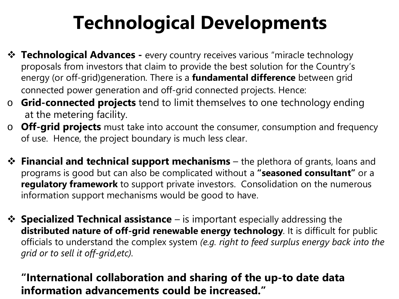# **Technological Developments**

- **Technological Advances -** every country receives various "miracle technology" proposals from investors that claim to provide the best solution for the Country's energy (or off-grid)generation. There is a **fundamental difference** between grid connected power generation and off-grid connected projects. Hence:
- o **Grid-connected projects** tend to limit themselves to one technology ending at the metering facility.
- o **Off-grid projects** must take into account the consumer, consumption and frequency of use. Hence, the project boundary is much less clear.
- $\cdot$  **Financial and technical support mechanisms** the plethora of grants, loans and programs is good but can also be complicated without a **"seasoned consultant"** or a **regulatory framework** to support private investors. Consolidation on the numerous information support mechanisms would be good to have.
- $\triangle$  **Specialized Technical assistance** is important especially addressing the **distributed nature of off-grid renewable energy technology**. It is difficult for public officials to understand the complex system *(e.g. right to feed surplus energy back into the grid or to sell it off-grid,etc).*

#### **"International collaboration and sharing of the up-to date data information advancements could be increased."**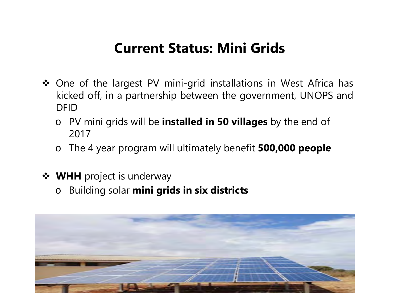### **Current Status: Mini Grids**

- ◆ One of the largest PV mini-grid installations in West Africa has kicked off, in a partnership between the government, UNOPS and DFID
	- o PV mini grids will be **installed in 50 villages** by the end of 2017
	- o The 4 year program will ultimately benefit **500,000 people**
- **❖ WHH** project is underway
	- o Building solar **mini grids in six districts**

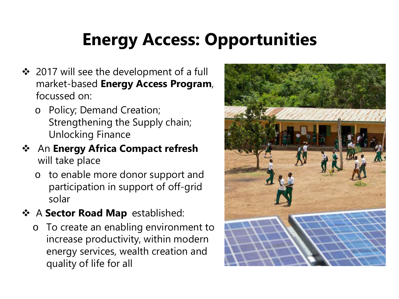# **Energy Access: Opportunities**

- ❖ 2017 will see the development of a full market-based **Energy Access Program**, focussed on:
	- o Policy; Demand Creation; Strengthening the Supply chain; Unlocking Finance
- An **Energy Africa Compact refresh** will take place
	- o to enable more donor support and participation in support of off-grid solar
- A **Sector Road Map** established:
	- o To create an enabling environment to increase productivity, within modern energy services, wealth creation and quality of life for all